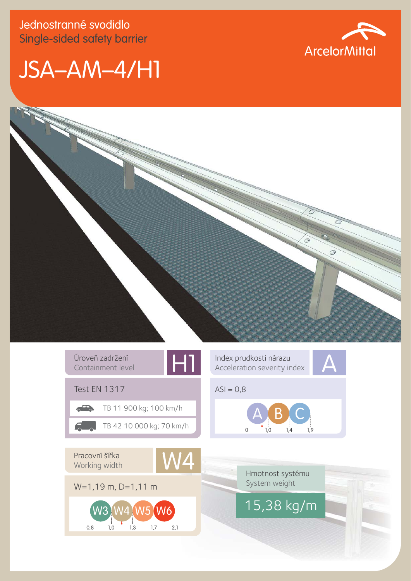Jednostranné svodidlo Single-sided safety barrier







| Úroveň zadržení<br>ы<br>Containment level               | Index prudkosti nárazu<br>Acceleration severity index |  |  |  |  |
|---------------------------------------------------------|-------------------------------------------------------|--|--|--|--|
| <b>Test EN 1317</b>                                     | $ASI = 0,8$                                           |  |  |  |  |
| TB 11 900 kg; 100 km/h                                  |                                                       |  |  |  |  |
| TB 42 10 000 kg; 70 km/h                                | 1.9<br>1.0<br>1,4                                     |  |  |  |  |
|                                                         |                                                       |  |  |  |  |
| Pracovní šířka<br><b>MZ</b><br>Working width            |                                                       |  |  |  |  |
|                                                         | Hmotnost systému                                      |  |  |  |  |
| $W=1,19$ m, D=1,11 m                                    | System weight                                         |  |  |  |  |
| N6<br>W <sub>3</sub><br>0,8<br>1,3<br>2,1<br>1.7<br>1,0 | $15,38$ kg/m                                          |  |  |  |  |
|                                                         |                                                       |  |  |  |  |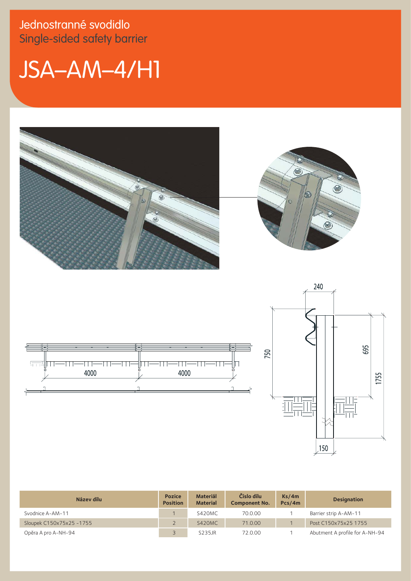Jednostranné svodidlo Single-sided safety barrier

## JSA–AM–4/H1







| Název dílu               | <b>Pozice</b><br><b>Position</b> | <b>Materiál</b><br><b>Material</b> | Číslo dílu<br><b>Component No.</b> | Ks/4m<br>Pcs/4m | <b>Designation</b>             |
|--------------------------|----------------------------------|------------------------------------|------------------------------------|-----------------|--------------------------------|
| Svodnice A-AM-11         |                                  | S420MC                             | 70.0.00                            |                 | Barrier strip A-AM-11          |
| Sloupek C150x75x25 -1755 |                                  | S420MC                             | 71.0.00                            |                 | Post C150x75x25 1755           |
| Opěra A pro A-NH-94      |                                  | S235JR                             | 72.0.00                            |                 | Abutment A profile for A-NH-94 |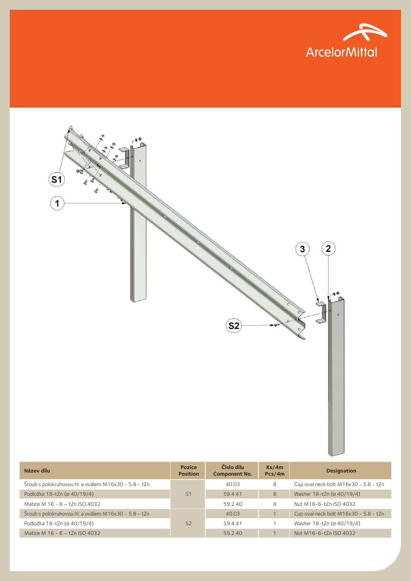



| Název dílu                                           | <b>Pozice</b><br><b>Position</b> | Číslo dílu<br><b>Component No.</b> | Ks/4m<br>Pcs/4m | <b>Designation</b>                    |
|------------------------------------------------------|----------------------------------|------------------------------------|-----------------|---------------------------------------|
| Šroub s polokruhovou hl. a oválem M16x30 - 5.8 - tZn | S <sub>1</sub>                   | 40.03                              | 8               | Cup oval neck bolt M16x30 - 5.8 - tZn |
| Podložka 18-tZn (ø 40/19/4)                          |                                  | 59.4.41                            | 8               | Washer 18-tZn (ø 40/19/4)             |
| Matice M 16 - 6 - tZn ISO 4032                       |                                  | 59.2.40                            | 8               | Nut M16-6-tZn ISO 4032                |
| Šroub s polokruhovou hl. a oválem M16x30 - 5.8 - tZn | S <sub>2</sub>                   | 40.03                              |                 | Cup oval neck bolt M16x30 - 5.8 - tZn |
| Podložka 18-tZn (ø 40/19/4)                          |                                  | 59.4.41                            |                 | Washer 18-tZn (ø 40/19/4)             |
| Matice M 16 - 6 - tZn ISO 4032                       |                                  | 59.2.40                            |                 | Nut M16-6-tZn ISO 4032                |